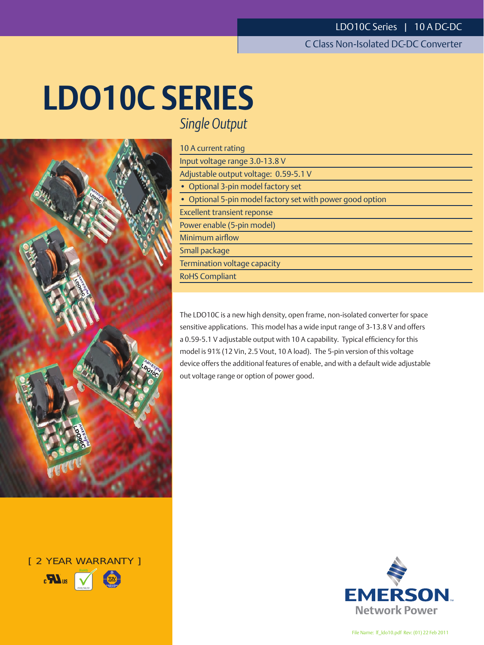# **LDO10C SERIES** *Single Output*



[ 2 YEAR WARRANTY ]



# 10 A current rating Input voltage range 3.0-13.8 V Adjustable output voltage: 0.59-5.1 V • Optional 3-pin model factory set • Optional 5-pin model factory set with power good option Excellent transient reponse Power enable (5-pin model) Minimum airflow Small package Termination voltage capacity RoHS Compliant

The LDO10C is a new high density, open frame, non-isolated converter for space sensitive applications. This model has a wide input range of 3-13.8 V and offers a 0.59-5.1 V adjustable output with 10 A capability. Typical efficiency for this model is 91% (12 Vin, 2.5 Vout, 10 A load). The 5-pin version of this voltage device offers the additional features of enable, and with a default wide adjustable

out voltage range or option of power good.

**EMERSON.** 

File Name: lf\_ldo10.pdf Rev: (01) 22 Feb 2011

**Network Power**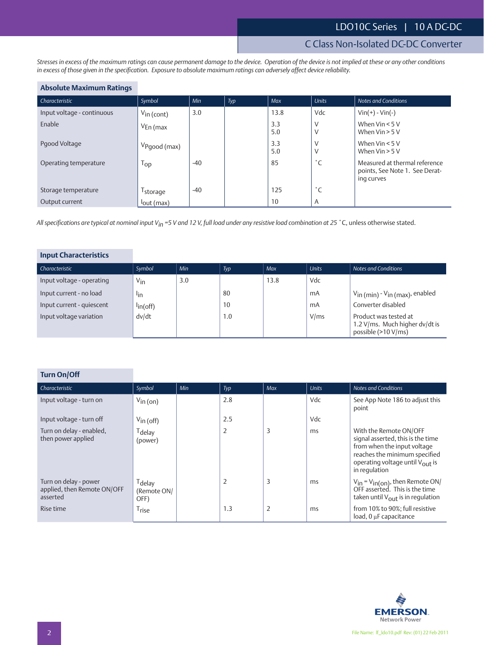# C Class Non-Isolated DC-DC Converter

*Stresses in excess of the maximum ratings can cause permanent damage to the device. Operation of the device is not implied at these or any other conditions in excess of those given in the specification. Exposure to absolute maximum ratings can adversely affect device reliability.*

## **Absolute Maximum Ratings**

| Characteristic             | Symbol                   | Min   | Typ | Max        | <b>Units</b> | <b>Notes and Conditions</b>                                                   |
|----------------------------|--------------------------|-------|-----|------------|--------------|-------------------------------------------------------------------------------|
| Input voltage - continuous | $V_{\text{in}}$ (cont)   | 3.0   |     | 13.8       | Vdc          | $Vin(+) - Vin(-)$                                                             |
| Enable                     | $V_{En}$ (max            |       |     | 3.3<br>5.0 | V            | When $V$ in $< 5 V$<br>When $V$ in $>$ 5 V                                    |
| Pgood Voltage              | V <sub>Pgood</sub> (max) |       |     | 3.3<br>5.0 | V<br>٧       | When $V$ in $< 5 V$<br>When $V$ in $>$ 5 V                                    |
| Operating temperature      | 1 <sub>OP</sub>          | $-40$ |     | 85         | °С           | Measured at thermal reference<br>points, See Note 1. See Derat-<br>ing curves |
| Storage temperature        | <sup>1</sup> storage     | $-40$ |     | 125        | $^{\circ}$ C |                                                                               |
| Output current             | $I_{\text{out}}$ (max)   |       |     | 10         | A            |                                                                               |

*All specifications are typical at nominal input Vin =5 V and 12 V, full load under any resistive load combination at 25* ˚C, unless otherwise stated.

| <b>Input Characteristics</b> |                   |     |     |      |              |                                                                                |
|------------------------------|-------------------|-----|-----|------|--------------|--------------------------------------------------------------------------------|
| Characteristic               | Symbol            | Min | Typ | Max  | <b>Units</b> | Notes and Conditions                                                           |
| Input voltage - operating    | $V_{\text{in}}$   | 3.0 |     | 13.8 | Vdc          |                                                                                |
| Input current - no load      | lin               |     | 80  |      | mA           | Vin (min) - Vin (max), enabled                                                 |
| Input current - quiescent    | $\ln(\text{off})$ |     | 10  |      | mA           | Converter disabled                                                             |
| Input voltage variation      | dv/dt             |     | 1.0 |      | V/ms         | Product was tested at<br>1.2 V/ms. Much higher dv/dt is<br>possible (>10 V/ms) |

| <b>Turn On/Off</b>                                               |                                           |     |     |            |              |                                                                                                                                                                                             |
|------------------------------------------------------------------|-------------------------------------------|-----|-----|------------|--------------|---------------------------------------------------------------------------------------------------------------------------------------------------------------------------------------------|
| Characteristic                                                   | Symbol                                    | Min | Typ | <b>Max</b> | <b>Units</b> | <b>Notes and Conditions</b>                                                                                                                                                                 |
| Input voltage - turn on                                          | $V_{\text{in}}$ (on)                      |     | 2.8 |            | Vdc          | See App Note 186 to adjust this<br>point                                                                                                                                                    |
| Input voltage - turn off                                         | $V_{\text{in}}$ (off)                     |     | 2.5 |            | Vdc          |                                                                                                                                                                                             |
| Turn on delay - enabled,<br>then power applied                   | <sup>T</sup> delay<br>(power)             |     | 2   | 3          | ms           | With the Remote ON/OFF<br>signal asserted, this is the time<br>from when the input voltage<br>reaches the minimum specified<br>operating voltage until V <sub>OUT</sub> is<br>in regulation |
| Turn on delay - power<br>applied, then Remote ON/OFF<br>asserted | <sup>T</sup> delav<br>(Remote ON/<br>OFF) |     | 2   | 3          | ms           | $V_{in} = V_{in (on)}$ , then Remote ON/<br>OFF asserted. This is the time<br>taken until $V_{\text{out}}$ is in regulation                                                                 |
| Rise time                                                        | Trise                                     |     | 1.3 | 2          | ms           | from 10% to 90%; full resistive<br>load, 0 µF capacitance                                                                                                                                   |

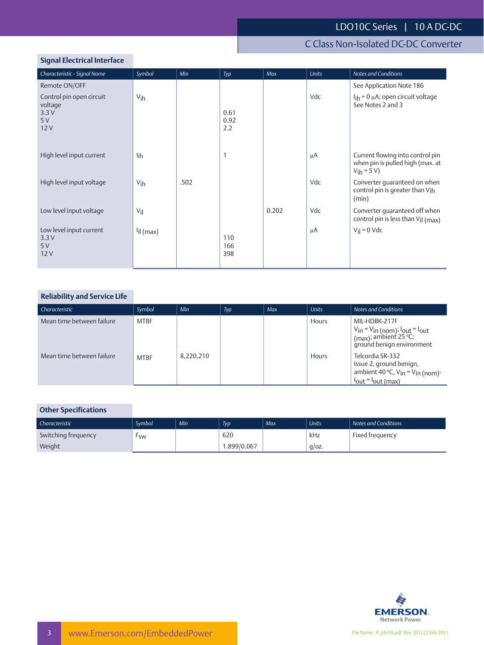# C Class Non-Isolated DC-DC Converter

## **Signal Electrical Interface**

| Characteristic - Signal Name                             | Symbol                | Min  | Typ                 | Max   | <b>Units</b> | <b>Notes and Conditions</b>                                                                |
|----------------------------------------------------------|-----------------------|------|---------------------|-------|--------------|--------------------------------------------------------------------------------------------|
| Remote ON/OFF                                            |                       |      |                     |       |              | See Application Note 186                                                                   |
| Control pin open circuit<br>voltage<br>3.3V<br>5V<br>12V | V <sub>ih</sub>       |      | 0.61<br>0.92<br>2.2 |       | Vdc          | $I_{\text{ih}}$ = 0 µA; open circuit voltage<br>See Notes 2 and 3                          |
| High level input current                                 | lih                   |      | 1                   |       | μA           | Current flowing into control pin<br>when pin is pulled high (max. at<br>$V_{\rm ih} = 5 V$ |
| High level input voltage                                 | V <sub>ih</sub>       | .502 |                     |       | Vdc          | Converter quaranteed on when<br>control pin is greater than Vih<br>(min)                   |
| Low level input voltage                                  | $V_{\parallel}$       |      |                     | 0.202 | Vdc          | Converter quaranteed off when<br>control pin is less than $V_{\text{il}}$ (max)            |
| Low level input current<br>3.3V<br>5V<br>12V             | <sup>l</sup> il (max) |      | 110<br>166<br>398   |       | μA           | $V_{il} = 0$ Vdc                                                                           |

## **Reliability and Service Life**

| Characteristic            | Symbol      | Min       | Typ | Max | <b>Units</b> | Notes and Conditions                                                                                                                       |
|---------------------------|-------------|-----------|-----|-----|--------------|--------------------------------------------------------------------------------------------------------------------------------------------|
| Mean time between failure | <b>MTBF</b> |           |     |     | Hours        | MIL-HDBK-217F<br>$V$ in = V <sub>in</sub> (nom); <sup>1</sup> out = <sup>1</sup> out<br>(max); ambient 25 °C;<br>ground benign environment |
| Mean time between failure | <b>MTBF</b> | 8,220,210 |     |     | <b>Hours</b> | Telcordia SR-332<br>Issue 2, ground benign,<br>ambient 40 °C, $V_{in} = V_{in}$ (nom)-<br>$I_{\text{out}} = I_{\text{out}}$ (max)          |

## **Other Specifications**

| Characteristic      | Svmbol    | Min | Typ         | Max | <b>Units</b> | Notes and Conditions |
|---------------------|-----------|-----|-------------|-----|--------------|----------------------|
| Switching frequency | <b>SW</b> |     | 620         |     | kHz          | Fixed frequency      |
| Weight              |           |     | 1.899/0.067 |     | $q$ /oz.     |                      |

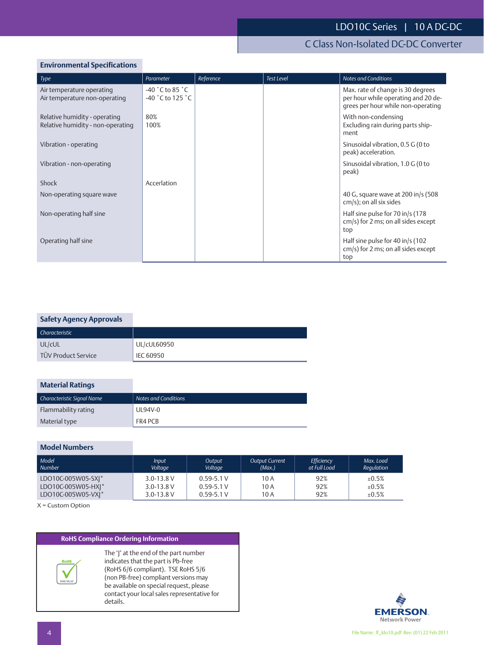# C Class Non-Isolated DC-DC Converter

## **Environmental Specifications**

| Type                                                               | Parameter                                                                       | Reference | <b>Test Level</b> | <b>Notes and Conditions</b>                                                                                    |
|--------------------------------------------------------------------|---------------------------------------------------------------------------------|-----------|-------------------|----------------------------------------------------------------------------------------------------------------|
| Air temperature operating<br>Air temperature non-operating         | $-40$ $^{\circ}$ C to 85 $^{\circ}$ C<br>$-40$ $^{\circ}$ C to 125 $^{\circ}$ C |           |                   | Max. rate of change is 30 degrees<br>per hour while operating and 20 de-<br>grees per hour while non-operating |
| Relative humidity - operating<br>Relative humidity - non-operating | 80%<br>100%                                                                     |           |                   | With non-condensing<br>Excluding rain during parts ship-<br>ment                                               |
| Vibration - operating                                              |                                                                                 |           |                   | Sinusoidal vibration, 0.5 G (0 to<br>peak) acceleration.                                                       |
| Vibration - non-operating                                          |                                                                                 |           |                   | Sinusoidal vibration, 1.0 G (0 to<br>peak)                                                                     |
| Shock                                                              | Accerlation                                                                     |           |                   |                                                                                                                |
| Non-operating square wave                                          |                                                                                 |           |                   | 40 G, square wave at 200 in/s (508<br>cm/s); on all six sides                                                  |
| Non-operating half sine                                            |                                                                                 |           |                   | Half sine pulse for 70 in/s (178<br>$cm/s$ ) for 2 ms; on all sides except<br>top                              |
| Operating half sine                                                |                                                                                 |           |                   | Half sine pulse for 40 in/s (102<br>cm/s) for 2 ms; on all sides except<br>top                                 |

## **Safety Agency Approvals**

| Characteristic             |                    |
|----------------------------|--------------------|
| UL/cUL                     | <b>UL/cUL60950</b> |
| <b>TÜV Product Service</b> | IEC 60950          |

## **Material Ratings**

| Characteristic Signal Name | Notes and Conditions |
|----------------------------|----------------------|
| Flammability rating        | UL94V-0              |
| Material type              | FR4 PCB              |

#### **Model Numbers**

| Model              | <b>Input</b>   | <b>Output</b>  | <b>Output Current</b> | Efficiency   | Max. Load  |
|--------------------|----------------|----------------|-----------------------|--------------|------------|
| Number             | Voltage        | Voltage        | (Max.)                | at Full Load | Regulation |
| LDO10C-005W05-SXI* | $3.0 - 13.8$ V | $0.59 - 5.1 V$ | 10A                   | 92%          | ±0.5%      |
| LDO10C-005W05-HXI* | $3.0 - 13.8$ V | $0.59 - 5.1 V$ | 10 A                  | 92%          | ±0.5%      |
| LDO10C-005W05-VXI* | $3.0 - 13.8$ V | $0.59 - 5.1 V$ | 10 A                  | 92%          | ±0.5%      |

X = Custom Option

## **RoHS Compliance Ordering Information**



The 'J' at the end of the part number indicates that the part is Pb-free (RoHS 6/6 compliant). TSE RoHS 5/6 (non PB-free) compliant versions may be available on special request, please contact your local sales representative for details.



 $\overline{\phantom{a}}$  $\overline{\phantom{a}}$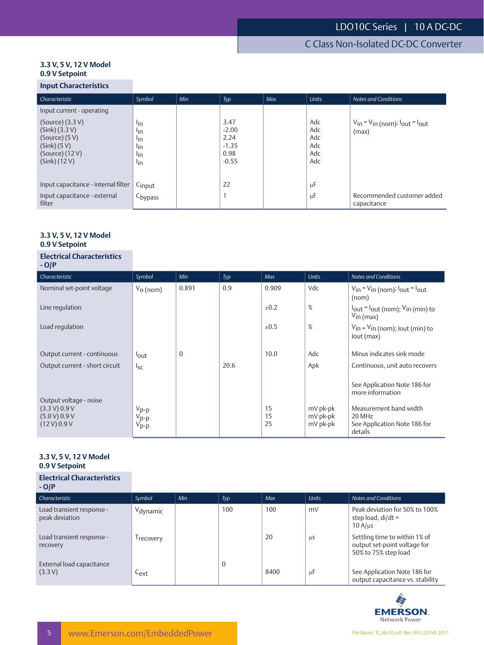#### **3.3 V, 5 V, 12 V Model 0.9 V Setpoint**

## **Input Characteristics**

| Characteristic                                                                                                     | Symbol                                                                     | Min | Typ                                                   | Max | <b>Units</b>                           | <b>Notes and Conditions</b>                           |
|--------------------------------------------------------------------------------------------------------------------|----------------------------------------------------------------------------|-----|-------------------------------------------------------|-----|----------------------------------------|-------------------------------------------------------|
| Input current - operating                                                                                          |                                                                            |     |                                                       |     |                                        |                                                       |
| $(Source)$ (3.3 V)<br>$(Sink)$ (3.3 V)<br>(Source) (5 V)<br>$(Sink)$ (5 V)<br>$(Source)$ (12 V)<br>$(Sink)$ (12 V) | lin<br>l <sub>in</sub><br>l <sub>in</sub><br>lin<br>l <sub>in</sub><br>lin |     | 3.47<br>$-2.00$<br>2.24<br>$-1.35$<br>0.98<br>$-0.55$ |     | Adc<br>Adc<br>Adc<br>Adc<br>Adc<br>Adc | $V_{in} = V_{in}$ (nom); $I_{out} = I_{out}$<br>(max) |
| Input capacitance - internal filter                                                                                | Cinput                                                                     |     | 22                                                    |     | μF                                     |                                                       |
| Input capacitance - external<br>filter                                                                             | C <sub>bypass</sub>                                                        |     |                                                       |     | μF                                     | Recommended customer added<br>capacitance             |

#### **3.3 V, 5 V, 12 V Model 0.9 V Setpoint**

| <b>Electrical Characteristics</b><br>$-$ O/P                             |                                                          |                |      |                |                                  |                                                                                   |
|--------------------------------------------------------------------------|----------------------------------------------------------|----------------|------|----------------|----------------------------------|-----------------------------------------------------------------------------------|
| Characteristic                                                           | Symbol                                                   | Min            | Typ  | Max            | <b>Units</b>                     | <b>Notes and Conditions</b>                                                       |
| Nominal set-point voltage                                                | $V_0$ (nom)                                              | 0.891          | 0.9  | 0.909          | Vdc                              | $V_{in} = V_{in}$ (nom); $I_{out} = I_{out}$<br>(nom)                             |
| Line regulation                                                          |                                                          |                |      | ±0.2           | %                                | $I_{\text{out}} = I_{\text{out}}$ (nom); $V_{\text{in}}$ (min) to<br>$V$ in (max) |
| Load regulation                                                          |                                                          |                |      | ±0.5           | %                                | $V_{\text{in}} = V_{\text{in}}$ (nom); lout (min) to<br>lout (max)                |
| Output current - continuous                                              | lout                                                     | $\overline{0}$ |      | 10.0           | Adc                              | Minus indicates sink mode                                                         |
| Output current - short circuit                                           | $I_{SC}$                                                 |                | 20.6 |                | Apk                              | Continuous, unit auto recovers                                                    |
|                                                                          |                                                          |                |      |                |                                  | See Application Note 186 for<br>more information                                  |
| Output voltage - noise<br>(3.3 V) 0.9 V<br>(5.0 V) 0.9 V<br>(12 V) 0.9 V | V <sub>p-p</sub><br>V <sub>p-p</sub><br>V <sub>p-p</sub> |                |      | 15<br>15<br>25 | mV pk-pk<br>mV pk-pk<br>mV pk-pk | Measurement band width<br>20 MHz<br>See Application Note 186 for<br>details       |

#### **3.3 V, 5 V, 12 V Model 0.9 V Setpoint**

#### **Electrical Characteristics**

| $-$ O/P                                     |                       |     |          |      |         |                                                                                       |
|---------------------------------------------|-----------------------|-----|----------|------|---------|---------------------------------------------------------------------------------------|
| Characteristic                              | Symbol                | Min | Typ      | Max  | Units   | Notes and Conditions                                                                  |
| Load transient response -<br>peak deviation | Vdynamic              |     | 100      | 100  | mV      | Peak deviation for 50% to 100%<br>step load, $di/dt =$<br>$10 \text{ A}$ /us          |
| Load transient response -<br>recovery       | <sup>1</sup> recovery |     |          | 20   | μS      | Settling time to within 1% of<br>output set-point voltage for<br>50% to 75% step load |
| External load capacitance<br>(3.3 V)        | $C_{ext}$             |     | $\Omega$ | 8400 | $\mu$ F | See Application Note 186 for<br>output capacitance vs. stability                      |

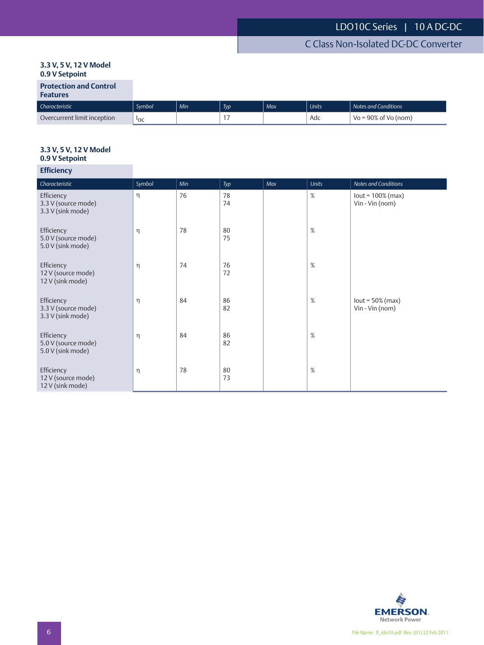## **3.3 V, 5 V, 12 V Model 0.9 V Setpoint**

# **Features**

| .                           |                 |            |                 |     |              |                              |
|-----------------------------|-----------------|------------|-----------------|-----|--------------|------------------------------|
| Characteristic              | Svmbol          | <b>Min</b> | T <sub>VD</sub> | Max | <b>Units</b> | Notes and Conditions         |
| Overcurrent limit inception | <sup>1</sup> OC |            |                 |     | Adc          | $\sqrt{6}$ = 90% of Vo (nom) |

# **3.3 V, 5 V, 12 V Model**

## **0.9 V Setpoint Efficiency**

| -----------                                            |        |     |          |     |              |                                        |
|--------------------------------------------------------|--------|-----|----------|-----|--------------|----------------------------------------|
| Characteristic                                         | Symbol | Min | Typ      | Max | <b>Units</b> | Notes and Conditions                   |
| Efficiency<br>3.3 V (source mode)<br>3.3 V (sink mode) | η      | 76  | 78<br>74 |     | $\%$         | $lout = 100% (max)$<br>Vin - Vin (nom) |
| Efficiency<br>5.0 V (source mode)<br>5.0 V (sink mode) | η      | 78  | 80<br>75 |     | $\%$         |                                        |
| Efficiency<br>12 V (source mode)<br>12 V (sink mode)   | η      | 74  | 76<br>72 |     | %            |                                        |
| Efficiency<br>3.3 V (source mode)<br>3.3 V (sink mode) | η      | 84  | 86<br>82 |     | %            | $lout = 50\% (max)$<br>Vin - Vin (nom) |
| Efficiency<br>5.0 V (source mode)<br>5.0 V (sink mode) | η      | 84  | 86<br>82 |     | %            |                                        |
| Efficiency<br>12 V (source mode)<br>12 V (sink mode)   | η      | 78  | 80<br>73 |     | $\%$         |                                        |

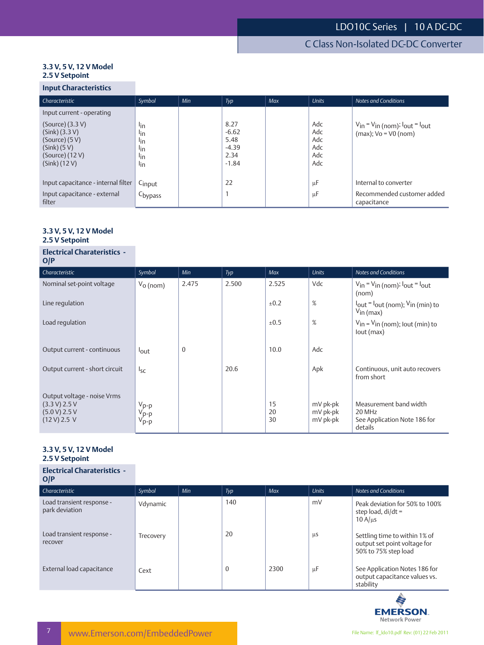#### **3.3 V, 5 V, 12 V Model 2.5 V Setpoint**

## **Input Characteristics**

| Characteristic                                                                                                                                  | Symbol                                                         | Min | Typ                                                   | <b>Max</b> | <b>Units</b>                           | <b>Notes and Conditions</b>                                            |
|-------------------------------------------------------------------------------------------------------------------------------------------------|----------------------------------------------------------------|-----|-------------------------------------------------------|------------|----------------------------------------|------------------------------------------------------------------------|
| Input current - operating<br>$(Source)$ (3.3 V)<br>$(Sink)$ (3.3 V)<br>(Source) (5 V)<br>$(Sink)$ (5 V)<br>$(Source)$ (12 V)<br>$(Sink)$ (12 V) | lin<br>lin<br>l <sub>in</sub><br>l <sub>in</sub><br>lin<br>lin |     | 8.27<br>$-6.62$<br>5.48<br>$-4.39$<br>2.34<br>$-1.84$ |            | Adc<br>Adc<br>Adc<br>Adc<br>Adc<br>Adc | $V_{in} = V_{in}$ (nom); $I_{out} = I_{out}$<br>$(max); Vo = V0 (nom)$ |
| Input capacitance - internal filter<br>Input capacitance - external<br>filter                                                                   | Cinput<br>C <sub>bypass</sub>                                  |     | 22                                                    |            | μF<br>μF                               | Internal to converter<br>Recommended customer added<br>capacitance     |

#### **3.3 V, 5 V, 12 V Model 2.5 V Setpoint**

#### **Electrical Charateristics -**

| O/P                                                                           |                                                                |              |       |                |                                  |                                                                                            |
|-------------------------------------------------------------------------------|----------------------------------------------------------------|--------------|-------|----------------|----------------------------------|--------------------------------------------------------------------------------------------|
| Characteristic                                                                | Symbol                                                         | Min          | Typ   | <b>Max</b>     | <b>Units</b>                     | <b>Notes and Conditions</b>                                                                |
| Nominal set-point voltage                                                     | $V_0$ (nom)                                                    | 2.475        | 2.500 | 2.525          | Vdc                              | $V_{in} = V_{in}$ (nom); $I_{out} = I_{out}$<br>(nom)                                      |
| Line regulation                                                               |                                                                |              |       | ±0.2           | %                                | $I_{\text{out}} = I_{\text{out}}$ (nom); $V_{\text{in}}$ (min) to<br>$V_{\text{in}}$ (max) |
| Load regulation                                                               |                                                                |              |       | ±0.5           | %                                | $V_{in} = V_{in}$ (nom); lout (min) to<br>lout (max)                                       |
| Output current - continuous                                                   | lout                                                           | $\mathbf{0}$ |       | 10.0           | Adc                              |                                                                                            |
| Output current - short circuit                                                | $I_{SC}$                                                       |              | 20.6  |                | Apk                              | Continuous, unit auto recovers<br>from short                                               |
| Output voltage - noise Vrms<br>(3.3 V) 2.5 V<br>(5.0 V) 2.5 V<br>(12 V) 2.5 V | $\begin{array}{c}\nV_{p-p} \\ V_{p-p} \\ V_{p-p}\n\end{array}$ |              |       | 15<br>20<br>30 | mV pk-pk<br>mV pk-pk<br>mV pk-pk | Measurement band width<br>20 MHz<br>See Application Note 186 for<br>details                |

#### **3.3 V, 5 V, 12 V Model 2.5 V Setpoint**

| <b>Electrical Charateristics -</b><br>O/P   |           |     |              |      |              |                                                                                       |
|---------------------------------------------|-----------|-----|--------------|------|--------------|---------------------------------------------------------------------------------------|
| Characteristic                              | Symbol    | Min | Typ          | Max  | <b>Units</b> | Notes and Conditions                                                                  |
| Load transient response -<br>park deviation | Vdynamic  |     | 140          |      | mV           | Peak deviation for 50% to 100%<br>step load, $di/dt =$<br>$10 \text{ A/}\mu\text{s}$  |
| Load transient response -<br>recover        | Trecovery |     | 20           |      | μS           | Settling time to within 1% of<br>output set point voltage for<br>50% to 75% step load |
| External load capacitance                   | Cext      |     | $\mathbf{0}$ | 2300 | $\mu$ F      | See Application Notes 186 for<br>output capacitance values vs.<br>stability           |

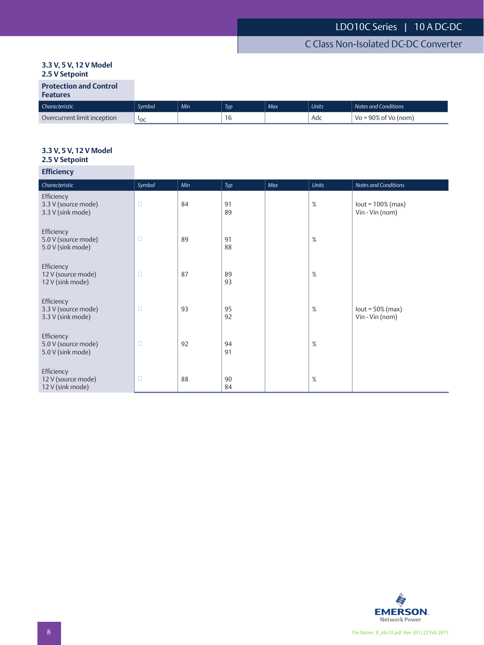## **3.3 V, 5 V, 12 V Model 2.5 V Setpoint**

| <b>Protection and Control</b> |  |  |
|-------------------------------|--|--|
|                               |  |  |

## **Features**

| Characteristic              | Symbol          | Min | <b>Typ</b> | Max | <b>Units</b> | Notes and Conditions           |
|-----------------------------|-----------------|-----|------------|-----|--------------|--------------------------------|
| Overcurrent limit inception | <sup>1</sup> OC |     | 1 U        |     | Adc          | $V_0 = 90\%$<br>nf Vn<br>(nom) |

## **3.3 V, 5 V, 12 V Model 2.5 V Setpoint**

## **Efficiency**

| Characteristic                                         | Symbol | Min | Typ      | Max | <b>Units</b> | Notes and Conditions                   |
|--------------------------------------------------------|--------|-----|----------|-----|--------------|----------------------------------------|
| Efficiency<br>3.3 V (source mode)<br>3.3 V (sink mode) | $\Box$ | 84  | 91<br>89 |     | %            | $lout = 100% (max)$<br>Vin - Vin (nom) |
| Efficiency<br>5.0 V (source mode)<br>5.0 V (sink mode) | $\Box$ | 89  | 91<br>88 |     | $\%$         |                                        |
| Efficiency<br>12 V (source mode)<br>12 V (sink mode)   | $\Box$ | 87  | 89<br>93 |     | %            |                                        |
| Efficiency<br>3.3 V (source mode)<br>3.3 V (sink mode) | $\Box$ | 93  | 95<br>92 |     | %            | $lout = 50\% (max)$<br>Vin - Vin (nom) |
| Efficiency<br>5.0 V (source mode)<br>5.0 V (sink mode) | $\Box$ | 92  | 94<br>91 |     | %            |                                        |
| Efficiency<br>12 V (source mode)<br>12 V (sink mode)   | $\Box$ | 88  | 90<br>84 |     | $\%$         |                                        |

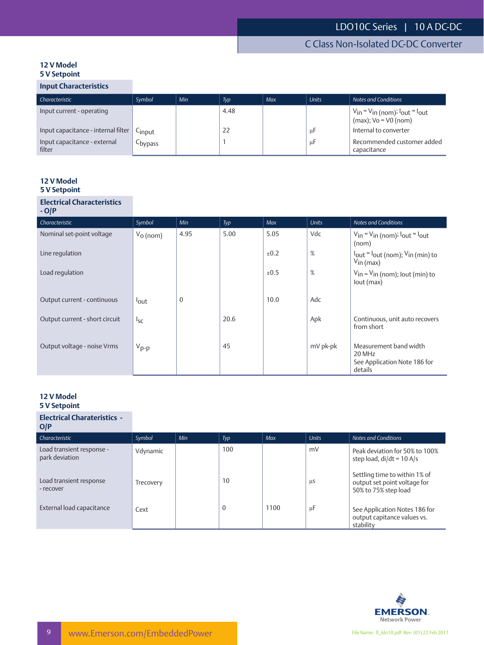#### **12 V Model 5 V Setpoint**

## **Input Characteristics**

| Characteristic                         | Symbol  | Min | Typ  | Max | <b>Units</b> | Notes and Conditions                                                       |
|----------------------------------------|---------|-----|------|-----|--------------|----------------------------------------------------------------------------|
| Input current - operating              |         |     | 4.48 |     |              | $V_{in}$ = $V_{in}$ (nom); $I_{out}$ = $I_{out}$<br>$(max); Vo = V0 (nom)$ |
| Input capacitance - internal filter    | Cinput  |     | 22   |     | μF           | Internal to converter                                                      |
| Input capacitance - external<br>filter | Cbypass |     |      |     | μF           | Recommended customer added<br>capacitance                                  |

#### **12 V Model 5 V Setpoint**

#### **Electrical Characteristics - O/P**

| ~™                             |             |              |      |      |              |                                                                                            |
|--------------------------------|-------------|--------------|------|------|--------------|--------------------------------------------------------------------------------------------|
| Characteristic                 | Symbol      | Min          | Typ  | Max  | <b>Units</b> | <b>Notes and Conditions</b>                                                                |
| Nominal set-point voltage      | $V_0$ (nom) | 4.95         | 5.00 | 5.05 | Vdc          | $V_{in} = V_{in}$ (nom); $I_{out} = I_{out}$<br>(nom)                                      |
| Line regulation                |             |              |      | ±0.2 | %            | $I_{\text{out}} = I_{\text{out}}$ (nom); $V_{\text{in}}$ (min) to<br>$V_{\text{in}}$ (max) |
| Load regulation                |             |              |      | ±0.5 | %            | $V_{\text{in}} = V_{\text{in}}$ (nom); lout (min) to<br>lout (max)                         |
| Output current - continuous    | lout        | $\mathbf{0}$ |      | 10.0 | Adc          |                                                                                            |
| Output current - short circuit | $I_{SC}$    |              | 20.6 |      | Apk          | Continuous, unit auto recovers<br>from short                                               |
| Output voltage - noise Vrms    | $V_{p-p}$   |              | 45   |      | mV pk-pk     | Measurement band width<br>20 MHz<br>See Application Note 186 for<br>details                |

#### **12 V Model 5 V Setpoint**

| <b>Electrical Charateristics -</b><br>O/P   |           |     |             |      |              |                                                                                       |
|---------------------------------------------|-----------|-----|-------------|------|--------------|---------------------------------------------------------------------------------------|
| Characteristic                              | Symbol    | Min | Typ         | Max  | <b>Units</b> | Notes and Conditions                                                                  |
| Load transient response -<br>park deviation | Vdynamic  |     | 100         |      | mV           | Peak deviation for 50% to 100%<br>step load, $di/dt = 10 A/s$                         |
| Load transient response<br>- recover        | Trecovery |     | 10          |      | μS           | Settling time to within 1% of<br>output set point voltage for<br>50% to 75% step load |
| External load capacitance                   | Cext      |     | $\mathbf 0$ | 1100 | μF           | See Application Notes 186 for<br>output capitance values vs.<br>stability             |

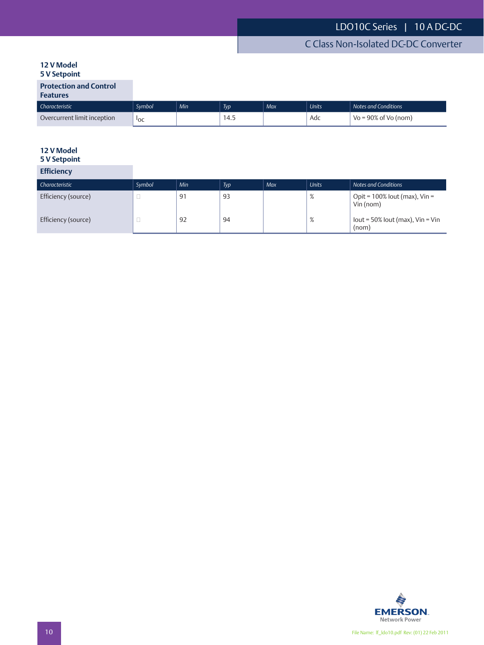#### **12 V Model 5 V Setpoint**

## **Protection and Control**

## **Features**

| Characteristic              | Svmbol     | Min' | Typ  | Max | <b>Units</b> | Notes and Conditions    |
|-----------------------------|------------|------|------|-----|--------------|-------------------------|
| Overcurrent limit inception | <b>POC</b> |      | ำ−∙⊶ |     | Adc          | $Vo = 90\%$ of Vo (nom) |

# **12 V Model**

# **5 V Setpoint**

|  | <b>Efficiency</b> |  |
|--|-------------------|--|
|  |                   |  |
|  |                   |  |

| Characteristic      | Symbol | Min | Typ | Max | <b>Units</b> | Notes and Conditions                          |
|---------------------|--------|-----|-----|-----|--------------|-----------------------------------------------|
| Efficiency (source) | ــ     | 91  | 93  |     | %            | Opit = $100\%$ lout (max), Vin =<br>Vin (nom) |
| Efficiency (source) |        | 92  | 94  |     | %            | lout = $50\%$ lout (max), Vin = Vin<br>(nom)  |

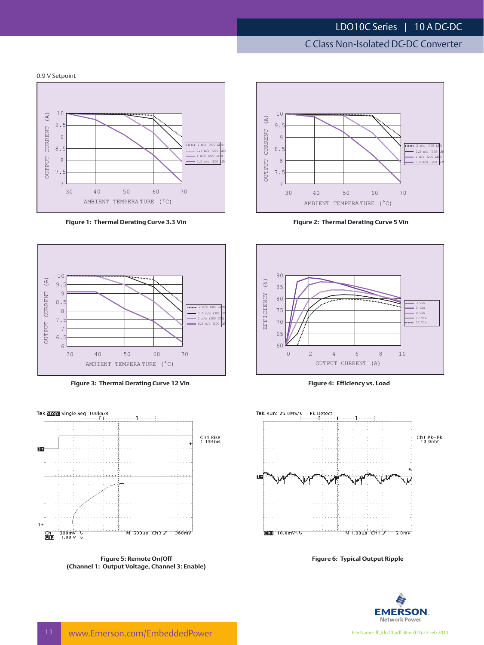# C Class Non-Isolated DC-DC Converter

0.9 V Setpoint



**Figure 1: Thermal Derating Curve 3.3 Vin Figure 2: Thermal Derating Curve 5 Vin**



**Figure 3: Thermal Derating Curve 12 Vin Figure 4: Efficiency vs. Load**



**Figure 5: Remote On/Off (Channel 1: Output Voltage, Channel 3: Enable)**









**Figure 6: Typical Output Ripple**

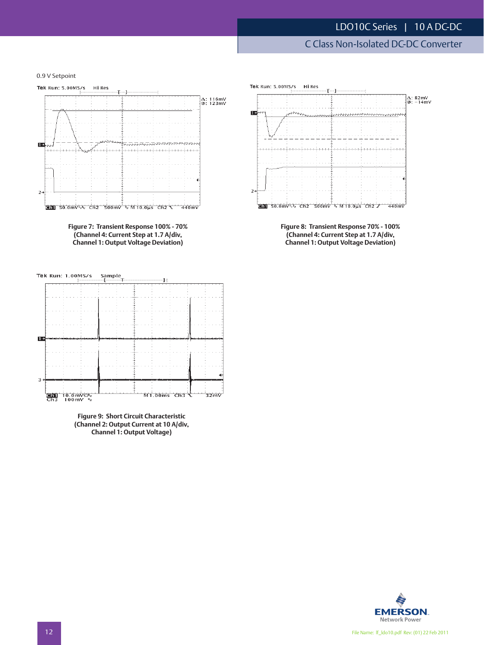C Class Non-Isolated DC-DC Converter

0.9 V Setpoint



**Figure 7: Transient Response 100% - 70% (Channel 4: Current Step at 1.7 A/div, Channel 1: Output Voltage Deviation)**



**Figure 9: Short Circuit Characteristic (Channel 2: Output Current at 10 A/div, Channel 1: Output Voltage)**



**Figure 8: Transient Response 70% - 100% (Channel 4: Current Step at 1.7 A/div, Channel 1: Output Voltage Deviation)**

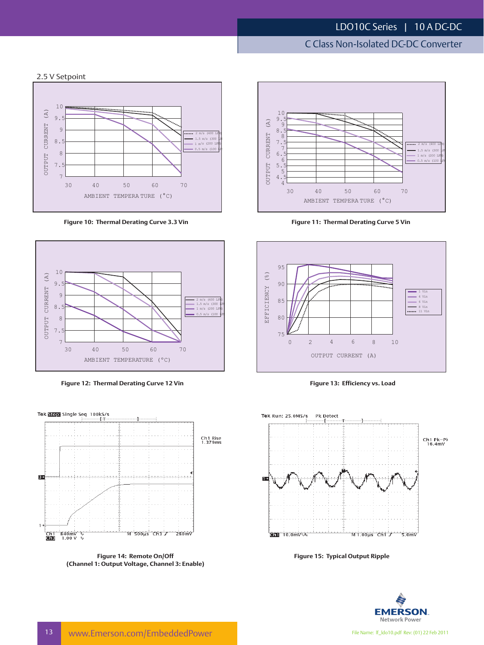# C Class Non-Isolated DC-DC Converter

#### 2.5 V Setpoint



**Figure 10: Thermal Derating Curve 3.3 Vin Figure 11: Thermal Derating Curve 5 Vin**



**Figure 12: Thermal Derating Curve 12 Vin Figure 13: Efficiency vs. Load**



**Figure 14: Remote On/Off (Channel 1: Output Voltage, Channel 3: Enable)**







**Figure 15: Typical Output Ripple**

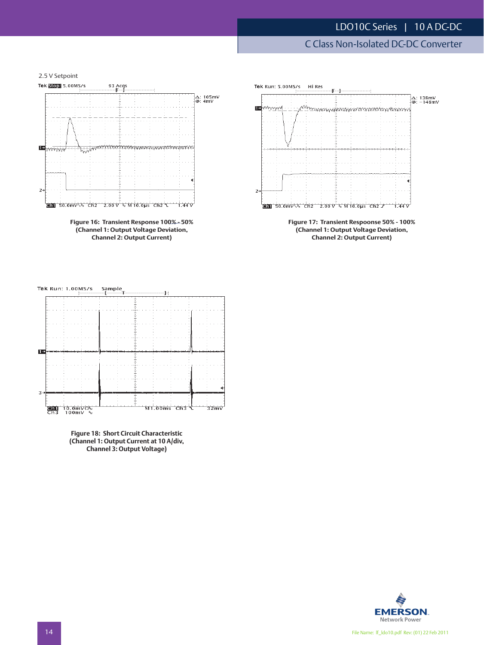## C Class Non-Isolated DC-DC Converter

2.5 V Setpoint







**Figure 17: Transient Respoonse 50% - 100% (Channel 1: Output Voltage Deviation, Channel 2: Output Current)**





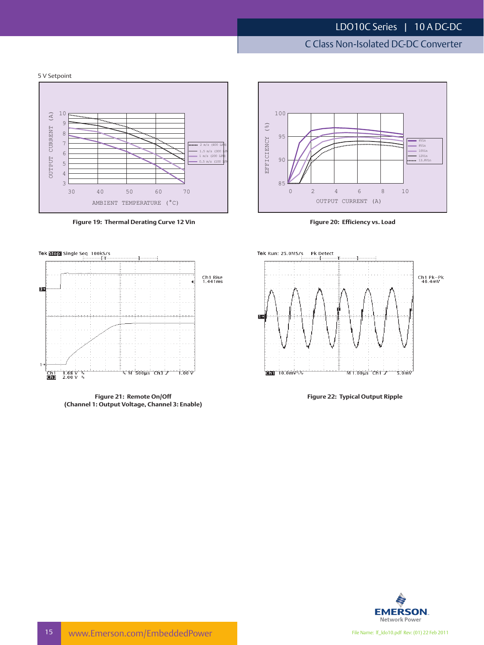# C Class Non-Isolated DC-DC Converter





**Figure 19: Thermal Derating Curve 12 Vin Figure 20: Efficiency vs. Load**





**Figure 21: Remote On/Off (Channel 1: Output Voltage, Channel 3: Enable)**



**Figure 22: Typical Output Ripple**

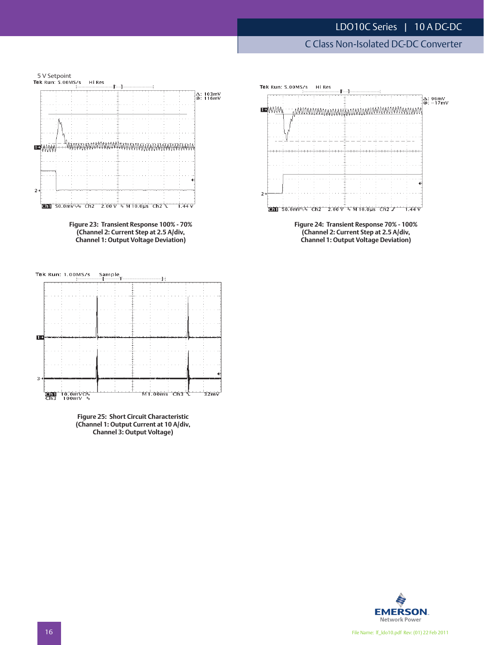C Class Non-Isolated DC-DC Converter







**Figure 25: Short Circuit Characteristic (Channel 1: Output Current at 10 A/div, Channel 3: Output Voltage)**



**(Channel 2: Current Step at 2.5 A/div, Channel 1: Output Voltage Deviation)**

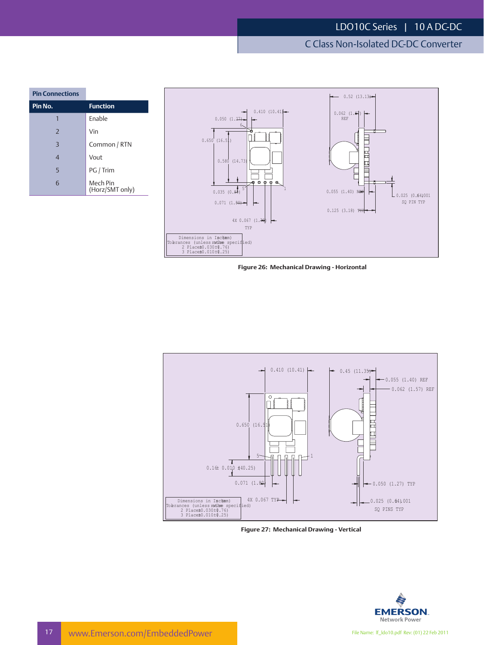C Class Non-Isolated DC-DC Converter

| <b>Pin Connections</b> |                             |
|------------------------|-----------------------------|
| Pin No.                | <b>Function</b>             |
|                        | Fnable                      |
| $\overline{2}$         | Vin                         |
| $\overline{3}$         | Common / RTN                |
| $\overline{4}$         | Vout                        |
| 5                      | PG / Trim                   |
| 6                      | Mech Pin<br>(Horz/SMT only) |



**Figure 26: Mechanical Drawing - Horizontal**



**Figure 27: Mechanical Drawing - Vertical**

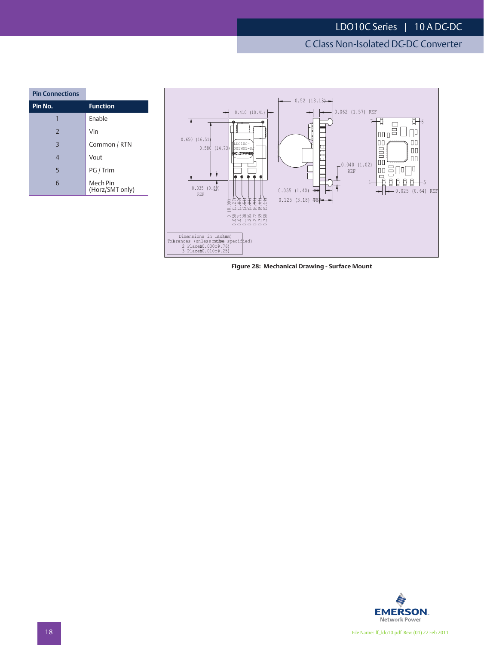# C Class Non-Isolated DC-DC Converter

| <b>Pin Connections</b> |                             |
|------------------------|-----------------------------|
| <u>Pin No.</u>         | <b>Function</b>             |
| 1                      | Enable                      |
| $\overline{2}$         | Vin                         |
| $\overline{3}$         | Common / RTN                |
| $\overline{4}$         | Vout                        |
| 5                      | PG / Trim                   |
| 6                      | Mech Pin<br>(Horz/SMT only) |



**Figure 28: Mechanical Drawing - Surface Mount**

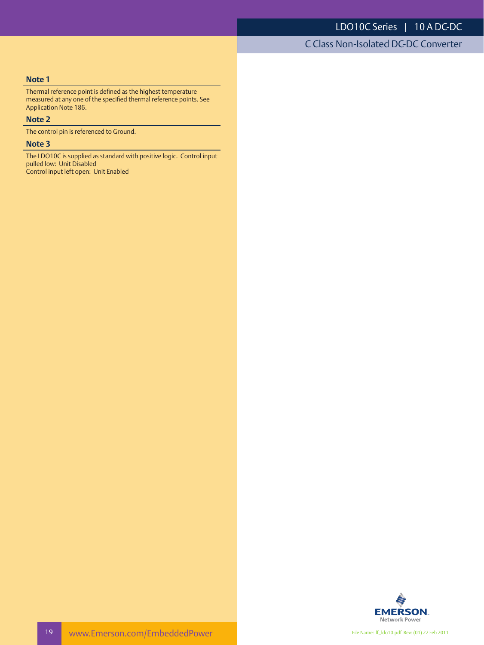C Class Non-Isolated DC-DC Converter

#### **Note 1**

Thermal reference point is defined as the highest temperature measured at any one of the specified thermal reference points. See Application Note 186.

#### **Note 2**

The control pin is referenced to Ground.

#### **Note 3**

The LDO10C is supplied as standard with positive logic. Control input pulled low: Unit Disabled Control input left open: Unit Enabled